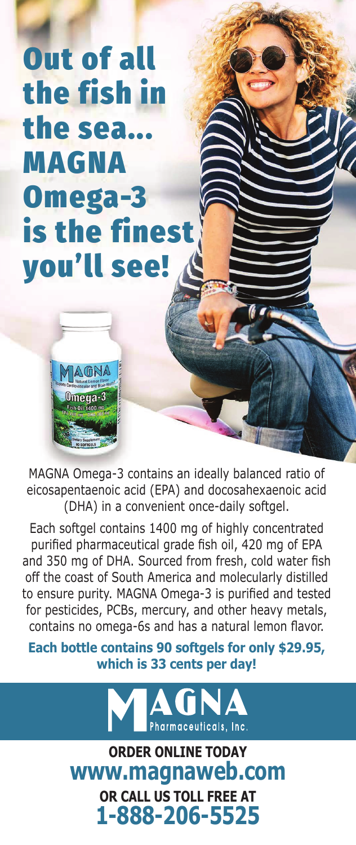Out of all the fish in the sea... MAGNA Omega-3 is the finest you'll see!



eicosapentaenoic acid (EPA) and docosahexaenoic acid (DHA) in a convenient once-daily softgel. MAGNA Omega-3 contains an ideally balanced ratio of

Each softgel contains 1400 mg of highly concentrated purified pharmaceutical grade fish oil, 420 mg of EPA off the coast of South America and molecularly distilled to ensure purity. MAGNA Omega-3 is purified and tested for pesticides, PCBs, mercury, and other heavy metals, contains no omega-6s and has a natural lemon flavor. and 350 mg of DHA. Sourced from fresh, cold water fish

**Each bottle contains 90 softgels for only \$29.95,** which is 33 cents per day!



**which is 33 cents per day! ORDER ONLINE TODAY www.magnaweb.com OR CALL US TOLL FREE AT 1-888-206-5525**